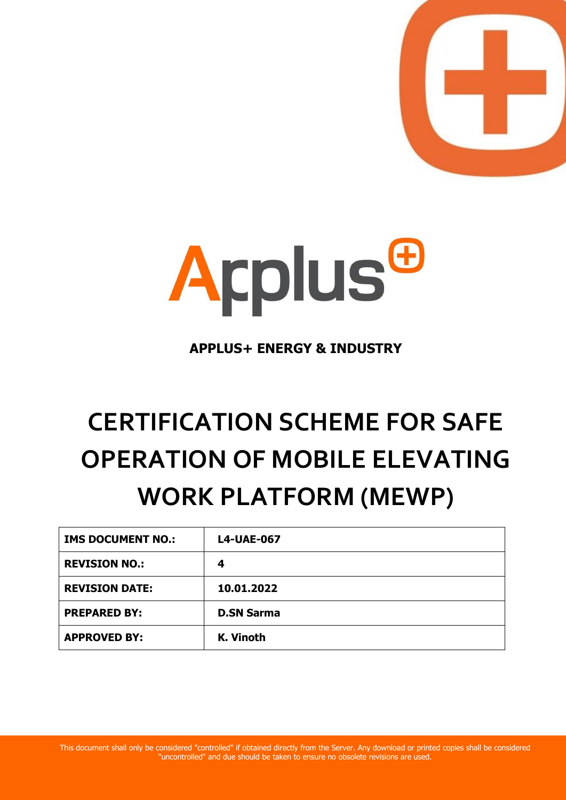



**APPLUS+ ENERGY & INDUSTRY**

# **CERTIFICATION SCHEME FOR SAFE OPERATION OF MOBILE ELEVATING WORK PLATFORM (MEWP)**

| <b>IMS DOCUMENT NO.:</b> | <b>L4-UAE-067</b> |
|--------------------------|-------------------|
| <b>REVISION NO.:</b>     | 4                 |
| <b>REVISION DATE:</b>    | 10.01.2022        |
| <b>PREPARED BY:</b>      | <b>D.SN Sarma</b> |
| <b>APPROVED BY:</b>      | K. Vinoth         |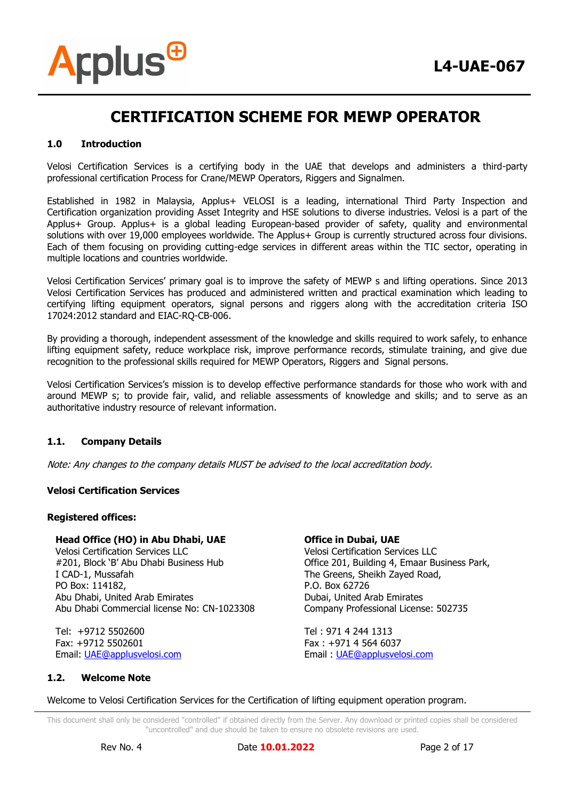#### **1.0 Introduction**

**Arplus<sup>@</sup>** 

Velosi Certification Services is a certifying body in the UAE that develops and administers a third-party professional certification Process for Crane/MEWP Operators, Riggers and Signalmen.

Established in 1982 in Malaysia, Applus+ VELOSI is a leading, international Third Party Inspection and Certification organization providing Asset Integrity and HSE solutions to diverse industries. Velosi is a part of the Applus+ Group. Applus+ is a global leading European-based provider of safety, quality and environmental solutions with over 19,000 employees worldwide. The Applus+ Group is currently structured across four divisions. Each of them focusing on providing cutting-edge services in different areas within the TIC sector, operating in multiple locations and countries worldwide.

Velosi Certification Services' primary goal is to improve the safety of MEWP s and lifting operations. Since 2013 Velosi Certification Services has produced and administered written and practical examination which leading to certifying lifting equipment operators, signal persons and riggers along with the accreditation criteria ISO 17024:2012 standard and EIAC-RQ-CB-006.

By providing a thorough, independent assessment of the knowledge and skills required to work safely, to enhance lifting equipment safety, reduce workplace risk, improve performance records, stimulate training, and give due recognition to the professional skills required for MEWP Operators, Riggers and Signal persons.

Velosi Certification Services's mission is to develop effective performance standards for those who work with and around MEWP s; to provide fair, valid, and reliable assessments of knowledge and skills; and to serve as an authoritative industry resource of relevant information.

#### **1.1. Company Details**

Note: Any changes to the company details MUST be advised to the local accreditation body.

#### **Velosi Certification Services**

#### **Registered offices:**

#### **Head Office (HO) in Abu Dhabi, UAE**

Velosi Certification Services LLC #201, Block 'B' Abu Dhabi Business Hub I CAD-1, Mussafah PO Box: 114182, Abu Dhabi, United Arab Emirates Abu Dhabi Commercial license No: CN-1023308

Tel: +9712 5502600 Fax: +9712 5502601 Email: [UAE@applusvelosi.com](mailto:UAE@applusvelosi.com)

#### **Office in Dubai, UAE**

Velosi Certification Services LLC Office 201, Building 4, Emaar Business Park, The Greens, Sheikh Zayed Road, P.O. Box 62726 Dubai, United Arab Emirates Company Professional License: 502735

Tel : 971 4 244 1313 Fax : +971 4 564 6037 Email : [UAE@applusvelosi.com](mailto:UAE@applusvelosi.com)

#### **1.2. Welcome Note**

Welcome to Velosi Certification Services for the Certification of lifting equipment operation program.

This document shall only be considered "controlled" if obtained directly from the Server. Any download or printed copies shall be considered "uncontrolled" and due should be taken to ensure no obsolete revisions are used.

Rev No. 4 Date **10.01.2022** Page 2 of 17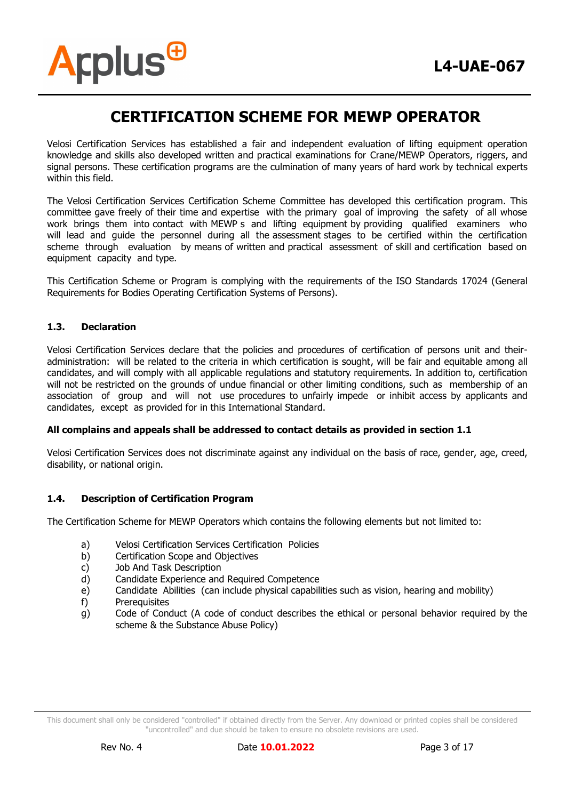Velosi Certification Services has established a fair and independent evaluation of lifting equipment operation knowledge and skills also developed written and practical examinations for Crane/MEWP Operators, riggers, and signal persons. These certification programs are the culmination of many years of hard work by technical experts within this field.

The Velosi Certification Services Certification Scheme Committee has developed this certification program. This committee gave freely of their time and expertise with the primary goal of improving the safety of all whose work brings them into contact with MEWP s and lifting equipment by providing qualified examiners who will lead and guide the personnel during all the assessment stages to be certified within the certification scheme through evaluation by means of written and practical assessment of skill and certification based on equipment capacity and type.

This Certification Scheme or Program is complying with the requirements of the ISO Standards 17024 (General Requirements for Bodies Operating Certification Systems of Persons).

#### **1.3. Declaration**

**Arplus<sup>®</sup>** 

Velosi Certification Services declare that the policies and procedures of certification of persons unit and theiradministration: will be related to the criteria in which certification is sought, will be fair and equitable among all candidates, and will comply with all applicable regulations and statutory requirements. In addition to, certification will not be restricted on the grounds of undue financial or other limiting conditions, such as membership of an association of group and will not use procedures to unfairly impede or inhibit access by applicants and candidates, except as provided for in this International Standard.

#### **All complains and appeals shall be addressed to contact details as provided in section 1.1**

Velosi Certification Services does not discriminate against any individual on the basis of race, gender, age, creed, disability, or national origin.

#### **1.4. Description of Certification Program**

The Certification Scheme for MEWP Operators which contains the following elements but not limited to:

- a) Velosi Certification Services Certification Policies
- b) Certification Scope and Objectives
- c) Job And Task Description
- d) Candidate Experience and Required Competence
- e) Candidate Abilities (can include physical capabilities such as vision, hearing and mobility)
- f) Prerequisites
- g) Code of Conduct (A code of conduct describes the ethical or personal behavior required by the scheme & the Substance Abuse Policy)

This document shall only be considered "controlled" if obtained directly from the Server. Any download or printed copies shall be considered "uncontrolled" and due should be taken to ensure no obsolete revisions are used.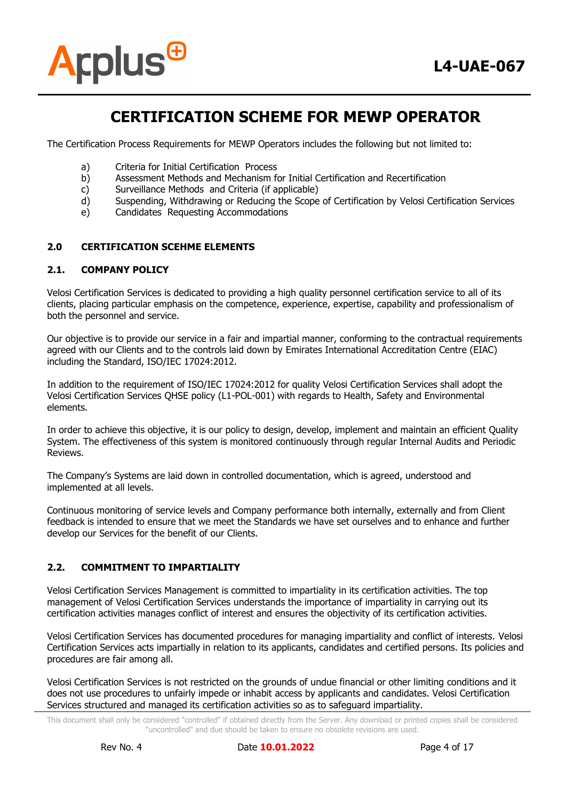



The Certification Process Requirements for MEWP Operators includes the following but not limited to:

- a) Criteria for Initial Certification Process
- b) Assessment Methods and Mechanism for Initial Certification and Recertification
- c) Surveillance Methods and Criteria (if applicable)
- d) Suspending, Withdrawing or Reducing the Scope of Certification by Velosi Certification Services
- e) Candidates Requesting Accommodations

#### **2.0 CERTIFICATION SCEHME ELEMENTS**

#### **2.1. COMPANY POLICY**

Velosi Certification Services is dedicated to providing a high quality personnel certification service to all of its clients, placing particular emphasis on the competence, experience, expertise, capability and professionalism of both the personnel and service.

Our objective is to provide our service in a fair and impartial manner, conforming to the contractual requirements agreed with our Clients and to the controls laid down by Emirates International Accreditation Centre (EIAC) including the Standard, ISO/IEC 17024:2012.

In addition to the requirement of ISO/IEC 17024:2012 for quality Velosi Certification Services shall adopt the Velosi Certification Services QHSE policy (L1-POL-001) with regards to Health, Safety and Environmental elements.

In order to achieve this objective, it is our policy to design, develop, implement and maintain an efficient Quality System. The effectiveness of this system is monitored continuously through regular Internal Audits and Periodic Reviews.

The Company's Systems are laid down in controlled documentation, which is agreed, understood and implemented at all levels.

Continuous monitoring of service levels and Company performance both internally, externally and from Client feedback is intended to ensure that we meet the Standards we have set ourselves and to enhance and further develop our Services for the benefit of our Clients.

#### **2.2. COMMITMENT TO IMPARTIALITY**

Velosi Certification Services Management is committed to impartiality in its certification activities. The top management of Velosi Certification Services understands the importance of impartiality in carrying out its certification activities manages conflict of interest and ensures the objectivity of its certification activities.

Velosi Certification Services has documented procedures for managing impartiality and conflict of interests. Velosi Certification Services acts impartially in relation to its applicants, candidates and certified persons. Its policies and procedures are fair among all.

Velosi Certification Services is not restricted on the grounds of undue financial or other limiting conditions and it does not use procedures to unfairly impede or inhabit access by applicants and candidates. Velosi Certification Services structured and managed its certification activities so as to safeguard impartiality.

This document shall only be considered "controlled" if obtained directly from the Server. Any download or printed copies shall be considered "uncontrolled" and due should be taken to ensure no obsolete revisions are used.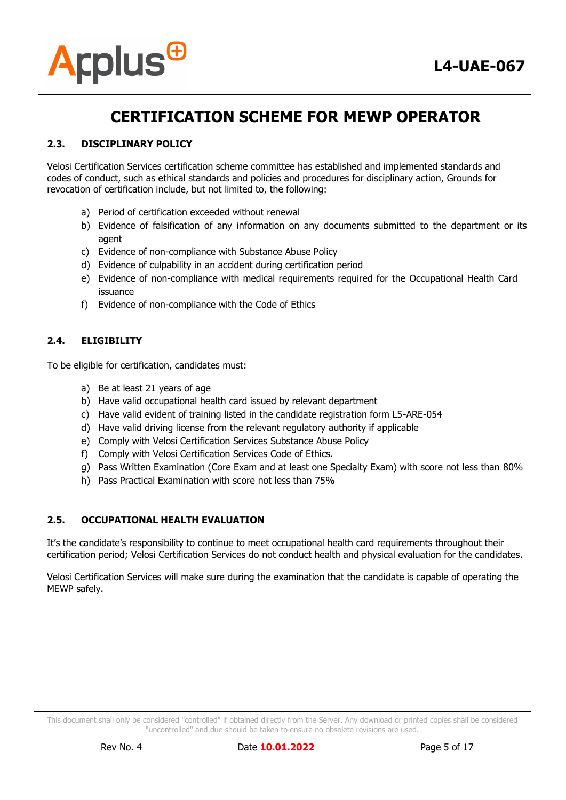

#### **2.3. DISCIPLINARY POLICY**

Velosi Certification Services certification scheme committee has established and implemented standards and codes of conduct, such as ethical standards and policies and procedures for disciplinary action, Grounds for revocation of certification include, but not limited to, the following:

- a) Period of certification exceeded without renewal
- b) Evidence of falsification of any information on any documents submitted to the department or its agent
- c) Evidence of non-compliance with Substance Abuse Policy
- d) Evidence of culpability in an accident during certification period
- e) Evidence of non-compliance with medical requirements required for the Occupational Health Card issuance
- f) Evidence of non-compliance with the Code of Ethics

#### **2.4. ELIGIBILITY**

To be eligible for certification, candidates must:

- a) Be at least 21 years of age
- b) Have valid occupational health card issued by relevant department
- c) Have valid evident of training listed in the candidate registration form L5-ARE-054
- d) Have valid driving license from the relevant regulatory authority if applicable
- e) Comply with Velosi Certification Services Substance Abuse Policy
- f) Comply with Velosi Certification Services Code of Ethics.
- g) Pass Written Examination (Core Exam and at least one Specialty Exam) with score not less than 80%
- h) Pass Practical Examination with score not less than 75%

#### **2.5. OCCUPATIONAL HEALTH EVALUATION**

It's the candidate's responsibility to continue to meet occupational health card requirements throughout their certification period; Velosi Certification Services do not conduct health and physical evaluation for the candidates.

Velosi Certification Services will make sure during the examination that the candidate is capable of operating the MEWP safely.

This document shall only be considered "controlled" if obtained directly from the Server. Any download or printed copies shall be considered "uncontrolled" and due should be taken to ensure no obsolete revisions are used.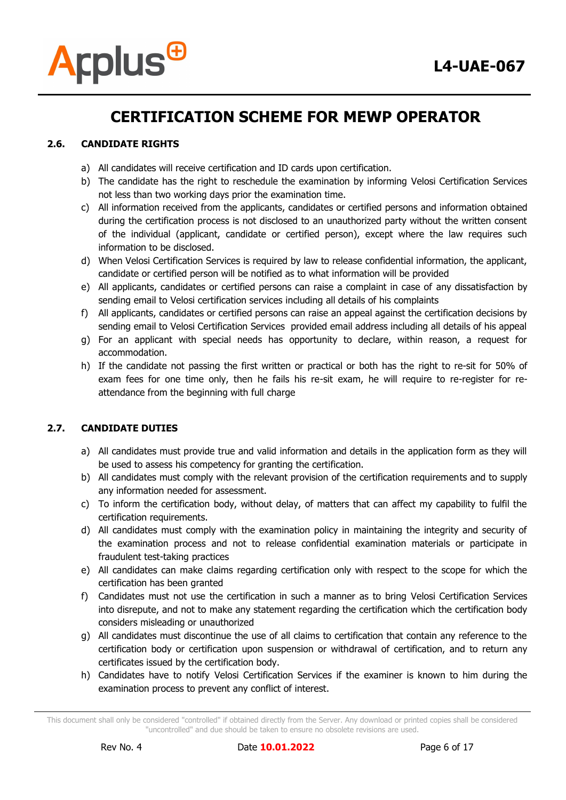

#### **2.6. CANDIDATE RIGHTS**

- a) All candidates will receive certification and ID cards upon certification.
- b) The candidate has the right to reschedule the examination by informing Velosi Certification Services not less than two working days prior the examination time.
- c) All information received from the applicants, candidates or certified persons and information obtained during the certification process is not disclosed to an unauthorized party without the written consent of the individual (applicant, candidate or certified person), except where the law requires such information to be disclosed.
- d) When Velosi Certification Services is required by law to release confidential information, the applicant, candidate or certified person will be notified as to what information will be provided
- e) All applicants, candidates or certified persons can raise a complaint in case of any dissatisfaction by sending email to Velosi certification services including all details of his complaints
- f) All applicants, candidates or certified persons can raise an appeal against the certification decisions by sending email to Velosi Certification Services provided email address including all details of his appeal
- g) For an applicant with special needs has opportunity to declare, within reason, a request for accommodation.
- h) If the candidate not passing the first written or practical or both has the right to re-sit for 50% of exam fees for one time only, then he fails his re-sit exam, he will require to re-register for reattendance from the beginning with full charge

#### **2.7. CANDIDATE DUTIES**

- a) All candidates must provide true and valid information and details in the application form as they will be used to assess his competency for granting the certification.
- b) All candidates must comply with the relevant provision of the certification requirements and to supply any information needed for assessment.
- c) To inform the certification body, without delay, of matters that can affect my capability to fulfil the certification requirements.
- d) All candidates must comply with the examination policy in maintaining the integrity and security of the examination process and not to release confidential examination materials or participate in fraudulent test-taking practices
- e) All candidates can make claims regarding certification only with respect to the scope for which the certification has been granted
- f) Candidates must not use the certification in such a manner as to bring Velosi Certification Services into disrepute, and not to make any statement regarding the certification which the certification body considers misleading or unauthorized
- g) All candidates must discontinue the use of all claims to certification that contain any reference to the certification body or certification upon suspension or withdrawal of certification, and to return any certificates issued by the certification body.
- h) Candidates have to notify Velosi Certification Services if the examiner is known to him during the examination process to prevent any conflict of interest.

This document shall only be considered "controlled" if obtained directly from the Server. Any download or printed copies shall be considered "uncontrolled" and due should be taken to ensure no obsolete revisions are used.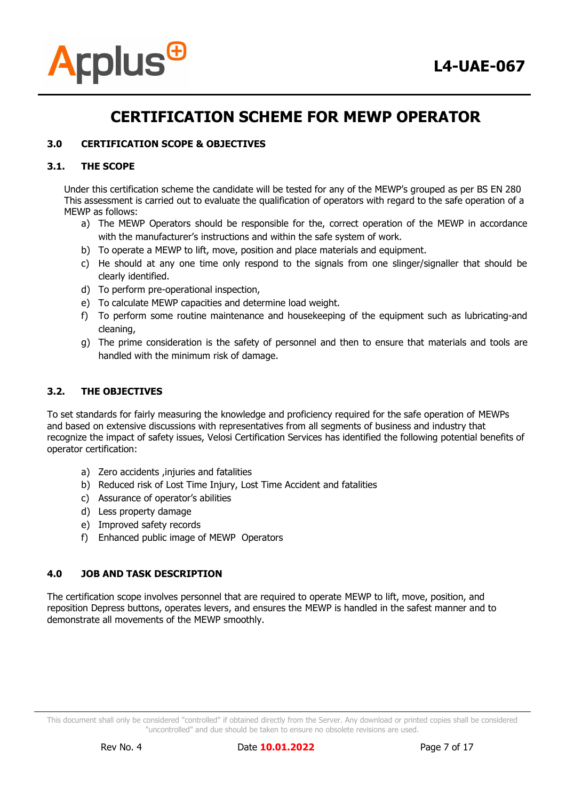

#### **3.0 CERTIFICATION SCOPE & OBJECTIVES**

#### **3.1. THE SCOPE**

Under this certification scheme the candidate will be tested for any of the MEWP's grouped as per BS EN 280 This assessment is carried out to evaluate the qualification of operators with regard to the safe operation of a MEWP as follows:

- a) The MEWP Operators should be responsible for the, correct operation of the MEWP in accordance with the manufacturer's instructions and within the safe system of work.
- b) To operate a MEWP to lift, move, position and place materials and equipment.
- c) He should at any one time only respond to the signals from one slinger/signaller that should be clearly identified.
- d) To perform pre-operational inspection,
- e) To calculate MEWP capacities and determine load weight.
- f) To perform some routine maintenance and housekeeping of the equipment such as lubricating-and cleaning,
- g) The prime consideration is the safety of personnel and then to ensure that materials and tools are handled with the minimum risk of damage.

#### **3.2. THE OBJECTIVES**

To set standards for fairly measuring the knowledge and proficiency required for the safe operation of MEWPs and based on extensive discussions with representatives from all segments of business and industry that recognize the impact of safety issues, Velosi Certification Services has identified the following potential benefits of operator certification:

- a) Zero accidents ,injuries and fatalities
- b) Reduced risk of Lost Time Injury, Lost Time Accident and fatalities
- c) Assurance of operator's abilities
- d) Less property damage
- e) Improved safety records
- f) Enhanced public image of MEWP Operators

#### **4.0 JOB AND TASK DESCRIPTION**

The certification scope involves personnel that are required to operate MEWP to lift, move, position, and reposition Depress buttons, operates levers, and ensures the MEWP is handled in the safest manner and to demonstrate all movements of the MEWP smoothly.

This document shall only be considered "controlled" if obtained directly from the Server. Any download or printed copies shall be considered "uncontrolled" and due should be taken to ensure no obsolete revisions are used.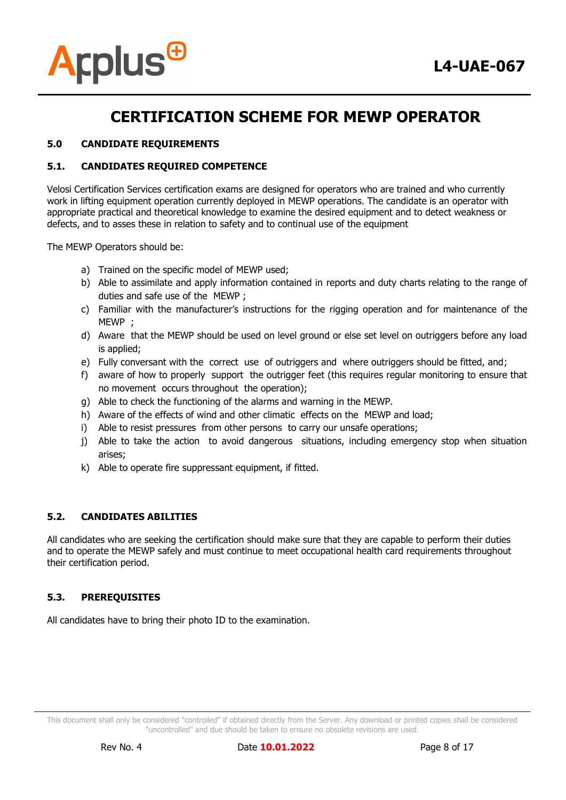

#### **5.0 CANDIDATE REQUIREMENTS**

#### **5.1. CANDIDATES REQUIRED COMPETENCE**

Velosi Certification Services certification exams are designed for operators who are trained and who currently work in lifting equipment operation currently deployed in MEWP operations. The candidate is an operator with appropriate practical and theoretical knowledge to examine the desired equipment and to detect weakness or defects, and to asses these in relation to safety and to continual use of the equipment

The MEWP Operators should be:

- a) Trained on the specific model of MEWP used;
- b) Able to assimilate and apply information contained in reports and duty charts relating to the range of duties and safe use of the MEWP ;
- c) Familiar with the manufacturer's instructions for the rigging operation and for maintenance of the MEWP ;
- d) Aware that the MEWP should be used on level ground or else set level on outriggers before any load is applied;
- e) Fully conversant with the correct use of outriggers and where outriggers should be fitted, and;
- f) aware of how to properly support the outrigger feet (this requires regular monitoring to ensure that no movement occurs throughout the operation);
- g) Able to check the functioning of the alarms and warning in the MEWP.
- h) Aware of the effects of wind and other climatic effects on the MEWP and load;
- i) Able to resist pressures from other persons to carry our unsafe operations;
- j) Able to take the action to avoid dangerous situations, including emergency stop when situation arises;
- k) Able to operate fire suppressant equipment, if fitted.

#### **5.2. CANDIDATES ABILITIES**

All candidates who are seeking the certification should make sure that they are capable to perform their duties and to operate the MEWP safely and must continue to meet occupational health card requirements throughout their certification period.

#### **5.3. PREREQUISITES**

All candidates have to bring their photo ID to the examination.

This document shall only be considered "controlled" if obtained directly from the Server. Any download or printed copies shall be considered "uncontrolled" and due should be taken to ensure no obsolete revisions are used.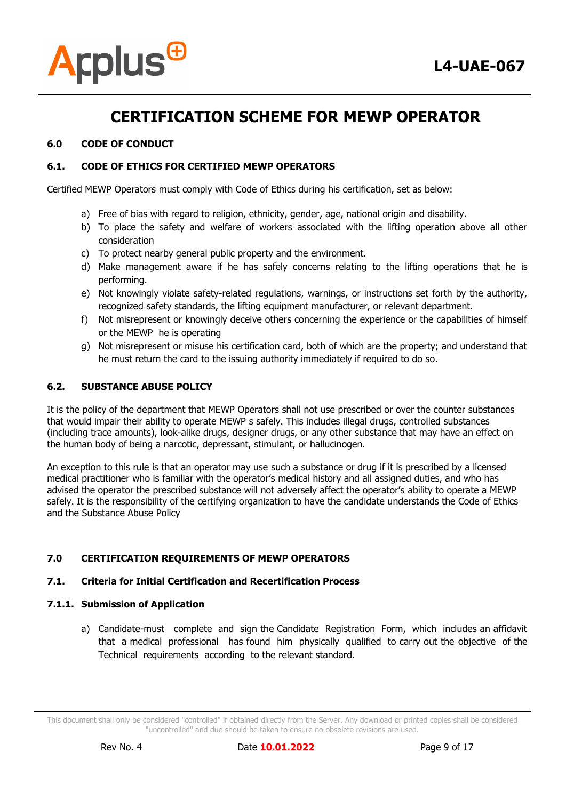

#### **6.0 CODE OF CONDUCT**

#### **6.1. CODE OF ETHICS FOR CERTIFIED MEWP OPERATORS**

Certified MEWP Operators must comply with Code of Ethics during his certification, set as below:

- a) Free of bias with regard to religion, ethnicity, gender, age, national origin and disability.
- b) To place the safety and welfare of workers associated with the lifting operation above all other consideration
- c) To protect nearby general public property and the environment.
- d) Make management aware if he has safely concerns relating to the lifting operations that he is performing.
- e) Not knowingly violate safety-related regulations, warnings, or instructions set forth by the authority, recognized safety standards, the lifting equipment manufacturer, or relevant department.
- f) Not misrepresent or knowingly deceive others concerning the experience or the capabilities of himself or the MEWP he is operating
- g) Not misrepresent or misuse his certification card, both of which are the property; and understand that he must return the card to the issuing authority immediately if required to do so.

#### **6.2. SUBSTANCE ABUSE POLICY**

It is the policy of the department that MEWP Operators shall not use prescribed or over the counter substances that would impair their ability to operate MEWP s safely. This includes illegal drugs, controlled substances (including trace amounts), look-alike drugs, designer drugs, or any other substance that may have an effect on the human body of being a narcotic, depressant, stimulant, or hallucinogen.

An exception to this rule is that an operator may use such a substance or drug if it is prescribed by a licensed medical practitioner who is familiar with the operator's medical history and all assigned duties, and who has advised the operator the prescribed substance will not adversely affect the operator's ability to operate a MEWP safely. It is the responsibility of the certifying organization to have the candidate understands the Code of Ethics and the Substance Abuse Policy

#### **7.0 CERTIFICATION REQUIREMENTS OF MEWP OPERATORS**

#### **7.1. Criteria for Initial Certification and Recertification Process**

#### **7.1.1. Submission of Application**

a) Candidate-must complete and sign the Candidate Registration Form, which includes an affidavit that a medical professional has found him physically qualified to carry out the objective of the Technical requirements according to the relevant standard.

This document shall only be considered "controlled" if obtained directly from the Server. Any download or printed copies shall be considered "uncontrolled" and due should be taken to ensure no obsolete revisions are used.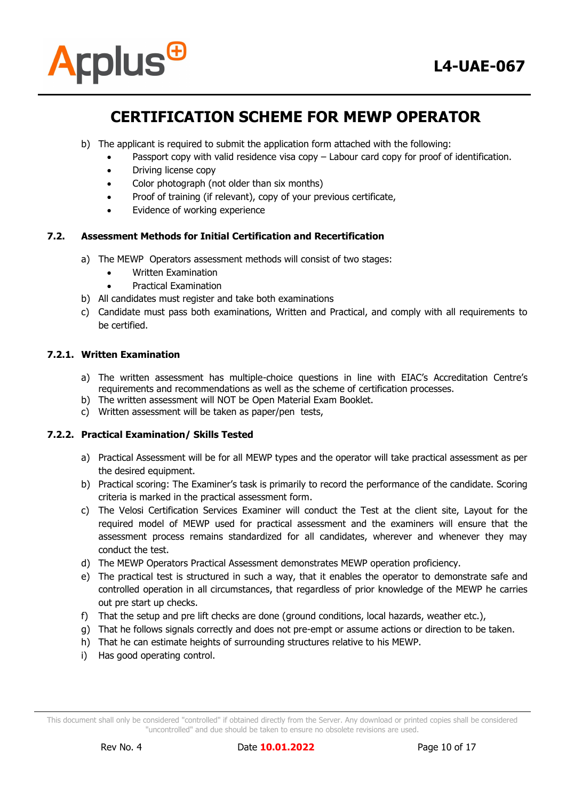

- b) The applicant is required to submit the application form attached with the following:
	- Passport copy with valid residence visa copy Labour card copy for proof of identification.
	- Driving license copy
	- Color photograph (not older than six months)
	- Proof of training (if relevant), copy of your previous certificate,
	- Evidence of working experience

#### **7.2. Assessment Methods for Initial Certification and Recertification**

- a) The MEWP Operators assessment methods will consist of two stages:
	- Written Examination
	- Practical Examination
- b) All candidates must register and take both examinations
- c) Candidate must pass both examinations, Written and Practical, and comply with all requirements to be certified.

#### **7.2.1. Written Examination**

- a) The written assessment has multiple-choice questions in line with EIAC's Accreditation Centre's requirements and recommendations as well as the scheme of certification processes.
- b) The written assessment will NOT be Open Material Exam Booklet.
- c) Written assessment will be taken as paper/pen tests,

#### **7.2.2. Practical Examination/ Skills Tested**

- a) Practical Assessment will be for all MEWP types and the operator will take practical assessment as per the desired equipment.
- b) Practical scoring: The Examiner's task is primarily to record the performance of the candidate. Scoring criteria is marked in the practical assessment form.
- c) The Velosi Certification Services Examiner will conduct the Test at the client site, Layout for the required model of MEWP used for practical assessment and the examiners will ensure that the assessment process remains standardized for all candidates, wherever and whenever they may conduct the test.
- d) The MEWP Operators Practical Assessment demonstrates MEWP operation proficiency.
- e) The practical test is structured in such a way, that it enables the operator to demonstrate safe and controlled operation in all circumstances, that regardless of prior knowledge of the MEWP he carries out pre start up checks.
- f) That the setup and pre lift checks are done (ground conditions, local hazards, weather etc.),
- g) That he follows signals correctly and does not pre-empt or assume actions or direction to be taken.
- h) That he can estimate heights of surrounding structures relative to his MEWP.
- i) Has good operating control.

This document shall only be considered "controlled" if obtained directly from the Server. Any download or printed copies shall be considered "uncontrolled" and due should be taken to ensure no obsolete revisions are used.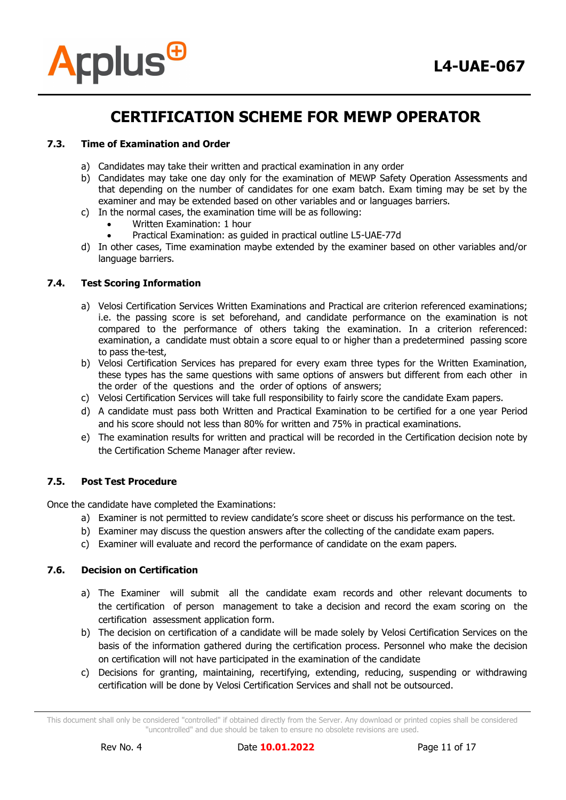

#### **7.3. Time of Examination and Order**

- a) Candidates may take their written and practical examination in any order
- b) Candidates may take one day only for the examination of MEWP Safety Operation Assessments and that depending on the number of candidates for one exam batch. Exam timing may be set by the examiner and may be extended based on other variables and or languages barriers.
- c) In the normal cases, the examination time will be as following:
	- Written Examination: 1 hour
	- Practical Examination: as guided in practical outline L5-UAE-77d
- d) In other cases, Time examination maybe extended by the examiner based on other variables and/or language barriers.

#### **7.4. Test Scoring Information**

- a) Velosi Certification Services Written Examinations and Practical are criterion referenced examinations; i.e. the passing score is set beforehand, and candidate performance on the examination is not compared to the performance of others taking the examination. In a criterion referenced: examination, a candidate must obtain a score equal to or higher than a predetermined passing score to pass the-test,
- b) Velosi Certification Services has prepared for every exam three types for the Written Examination, these types has the same questions with same options of answers but different from each other in the order of the questions and the order of options of answers;
- c) Velosi Certification Services will take full responsibility to fairly score the candidate Exam papers.
- d) A candidate must pass both Written and Practical Examination to be certified for a one year Period and his score should not less than 80% for written and 75% in practical examinations.
- e) The examination results for written and practical will be recorded in the Certification decision note by the Certification Scheme Manager after review.

#### **7.5. Post Test Procedure**

Once the candidate have completed the Examinations:

- a) Examiner is not permitted to review candidate's score sheet or discuss his performance on the test.
- b) Examiner may discuss the question answers after the collecting of the candidate exam papers.
- c) Examiner will evaluate and record the performance of candidate on the exam papers.

#### **7.6. Decision on Certification**

- a) The Examiner will submit all the candidate exam records and other relevant documents to the certification of person management to take a decision and record the exam scoring on the certification assessment application form.
- b) The decision on certification of a candidate will be made solely by Velosi Certification Services on the basis of the information gathered during the certification process. Personnel who make the decision on certification will not have participated in the examination of the candidate
- c) Decisions for granting, maintaining, recertifying, extending, reducing, suspending or withdrawing certification will be done by Velosi Certification Services and shall not be outsourced.

This document shall only be considered "controlled" if obtained directly from the Server. Any download or printed copies shall be considered "uncontrolled" and due should be taken to ensure no obsolete revisions are used.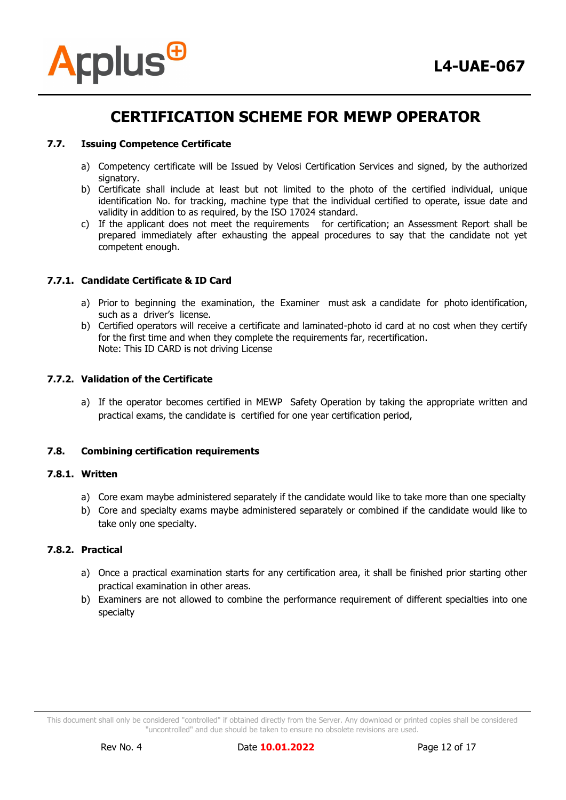

#### **7.7. Issuing Competence Certificate**

- a) Competency certificate will be Issued by Velosi Certification Services and signed, by the authorized signatory.
- b) Certificate shall include at least but not limited to the photo of the certified individual, unique identification No. for tracking, machine type that the individual certified to operate, issue date and validity in addition to as required, by the ISO 17024 standard.
- c) If the applicant does not meet the requirements for certification; an Assessment Report shall be prepared immediately after exhausting the appeal procedures to say that the candidate not yet competent enough.

#### **7.7.1. Candidate Certificate & ID Card**

- a) Prior to beginning the examination, the Examiner must ask a candidate for photo identification, such as a driver's license.
- b) Certified operators will receive a certificate and laminated-photo id card at no cost when they certify for the first time and when they complete the requirements far, recertification. Note: This ID CARD is not driving License

#### **7.7.2. Validation of the Certificate**

a) If the operator becomes certified in MEWP Safety Operation by taking the appropriate written and practical exams, the candidate is certified for one year certification period,

#### **7.8. Combining certification requirements**

#### **7.8.1. Written**

- a) Core exam maybe administered separately if the candidate would like to take more than one specialty
- b) Core and specialty exams maybe administered separately or combined if the candidate would like to take only one specialty.

#### **7.8.2. Practical**

- a) Once a practical examination starts for any certification area, it shall be finished prior starting other practical examination in other areas.
- b) Examiners are not allowed to combine the performance requirement of different specialties into one specialty

This document shall only be considered "controlled" if obtained directly from the Server. Any download or printed copies shall be considered "uncontrolled" and due should be taken to ensure no obsolete revisions are used.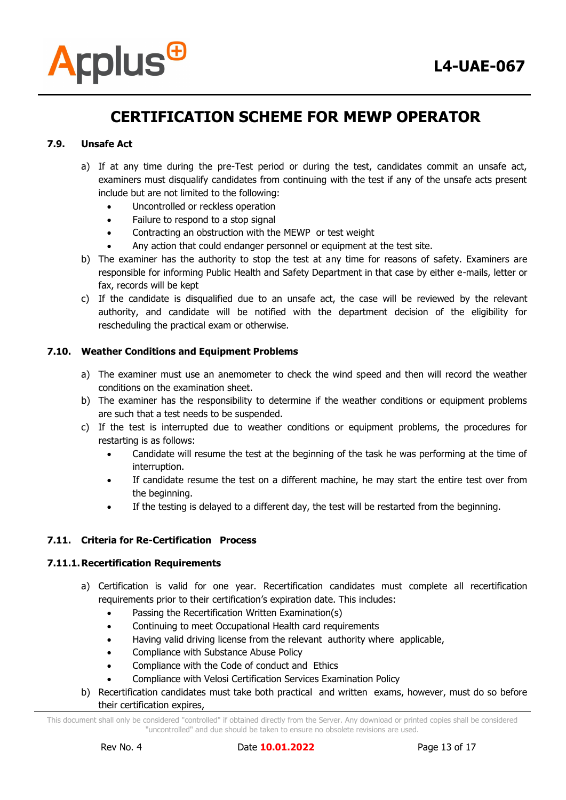

#### **7.9. Unsafe Act**

- a) If at any time during the pre-Test period or during the test, candidates commit an unsafe act, examiners must disqualify candidates from continuing with the test if any of the unsafe acts present include but are not limited to the following:
	- Uncontrolled or reckless operation
	- Failure to respond to a stop signal
	- Contracting an obstruction with the MEWP or test weight
	- Any action that could endanger personnel or equipment at the test site.
- b) The examiner has the authority to stop the test at any time for reasons of safety. Examiners are responsible for informing Public Health and Safety Department in that case by either e-mails, letter or fax, records will be kept
- c) If the candidate is disqualified due to an unsafe act, the case will be reviewed by the relevant authority, and candidate will be notified with the department decision of the eligibility for rescheduling the practical exam or otherwise.

#### **7.10. Weather Conditions and Equipment Problems**

- a) The examiner must use an anemometer to check the wind speed and then will record the weather conditions on the examination sheet.
- b) The examiner has the responsibility to determine if the weather conditions or equipment problems are such that a test needs to be suspended.
- c) If the test is interrupted due to weather conditions or equipment problems, the procedures for restarting is as follows:
	- Candidate will resume the test at the beginning of the task he was performing at the time of interruption.
	- If candidate resume the test on a different machine, he may start the entire test over from the beginning.
	- If the testing is delayed to a different day, the test will be restarted from the beginning.

#### **7.11. Criteria for Re-Certification Process**

#### **7.11.1.Recertification Requirements**

- a) Certification is valid for one year. Recertification candidates must complete all recertification requirements prior to their certification's expiration date. This includes:
	- Passing the Recertification Written Examination(s)
	- Continuing to meet Occupational Health card requirements
	- Having valid driving license from the relevant authority where applicable,
	- Compliance with Substance Abuse Policy
	- Compliance with the Code of conduct and Ethics
	- Compliance with Velosi Certification Services Examination Policy
- b) Recertification candidates must take both practical and written exams, however, must do so before their certification expires,

This document shall only be considered "controlled" if obtained directly from the Server. Any download or printed copies shall be considered "uncontrolled" and due should be taken to ensure no obsolete revisions are used.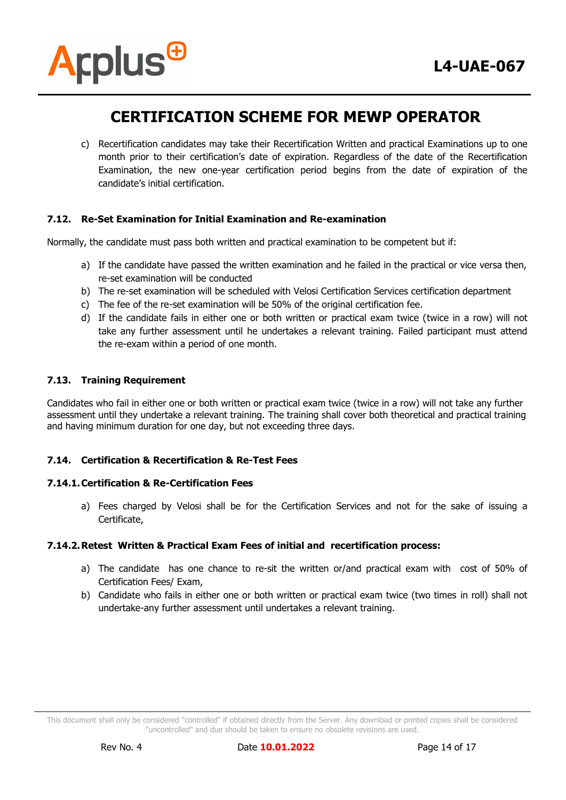

c) Recertification candidates may take their Recertification Written and practical Examinations up to one month prior to their certification's date of expiration. Regardless of the date of the Recertification Examination, the new one-year certification period begins from the date of expiration of the candidate's initial certification.

#### **7.12. Re-Set Examination for Initial Examination and Re-examination**

Normally, the candidate must pass both written and practical examination to be competent but if:

- a) If the candidate have passed the written examination and he failed in the practical or vice versa then, re-set examination will be conducted
- b) The re-set examination will be scheduled with Velosi Certification Services certification department
- c) The fee of the re-set examination will be 50% of the original certification fee.
- d) If the candidate fails in either one or both written or practical exam twice (twice in a row) will not take any further assessment until he undertakes a relevant training. Failed participant must attend the re-exam within a period of one month.

#### **7.13. Training Requirement**

Candidates who fail in either one or both written or practical exam twice (twice in a row) will not take any further assessment until they undertake a relevant training. The training shall cover both theoretical and practical training and having minimum duration for one day, but not exceeding three days.

#### **7.14. Certification & Recertification & Re-Test Fees**

#### **7.14.1.Certification & Re-Certification Fees**

a) Fees charged by Velosi shall be for the Certification Services and not for the sake of issuing a Certificate,

#### **7.14.2.Retest Written & Practical Exam Fees of initial and recertification process:**

- a) The candidate has one chance to re-sit the written or/and practical exam with cost of 50% of Certification Fees/ Exam,
- b) Candidate who fails in either one or both written or practical exam twice (two times in roll) shall not undertake-any further assessment until undertakes a relevant training.

This document shall only be considered "controlled" if obtained directly from the Server. Any download or printed copies shall be considered "uncontrolled" and due should be taken to ensure no obsolete revisions are used.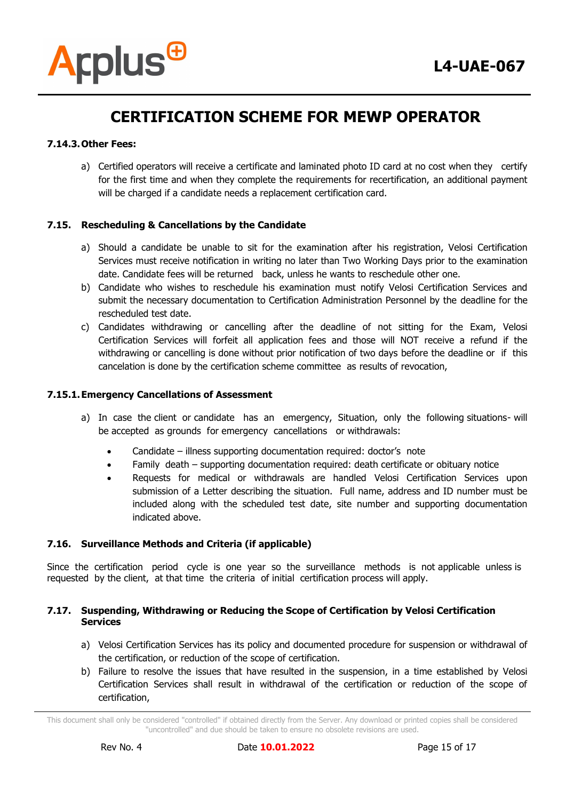#### **7.14.3.Other Fees:**

**Arplus<sup>®</sup>** 

a) Certified operators will receive a certificate and laminated photo ID card at no cost when they certify for the first time and when they complete the requirements for recertification, an additional payment will be charged if a candidate needs a replacement certification card.

#### **7.15. Rescheduling & Cancellations by the Candidate**

- a) Should a candidate be unable to sit for the examination after his registration, Velosi Certification Services must receive notification in writing no later than Two Working Days prior to the examination date. Candidate fees will be returned back, unless he wants to reschedule other one.
- b) Candidate who wishes to reschedule his examination must notify Velosi Certification Services and submit the necessary documentation to Certification Administration Personnel by the deadline for the rescheduled test date.
- c) Candidates withdrawing or cancelling after the deadline of not sitting for the Exam, Velosi Certification Services will forfeit all application fees and those will NOT receive a refund if the withdrawing or cancelling is done without prior notification of two days before the deadline or if this cancelation is done by the certification scheme committee as results of revocation,

#### **7.15.1.Emergency Cancellations of Assessment**

- a) In case the client or candidate has an emergency, Situation, only the following situations- will be accepted as grounds for emergency cancellations or withdrawals:
	- Candidate illness supporting documentation required: doctor's note
	- Family death supporting documentation required: death certificate or obituary notice
	- Requests for medical or withdrawals are handled Velosi Certification Services upon submission of a Letter describing the situation. Full name, address and ID number must be included along with the scheduled test date, site number and supporting documentation indicated above.

#### **7.16. Surveillance Methods and Criteria (if applicable)**

Since the certification period cycle is one year so the surveillance methods is not applicable unless is requested by the client, at that time the criteria of initial certification process will apply.

#### **7.17. Suspending, Withdrawing or Reducing the Scope of Certification by Velosi Certification Services**

- a) Velosi Certification Services has its policy and documented procedure for suspension or withdrawal of the certification, or reduction of the scope of certification.
- b) Failure to resolve the issues that have resulted in the suspension, in a time established by Velosi Certification Services shall result in withdrawal of the certification or reduction of the scope of certification,

This document shall only be considered "controlled" if obtained directly from the Server. Any download or printed copies shall be considered "uncontrolled" and due should be taken to ensure no obsolete revisions are used.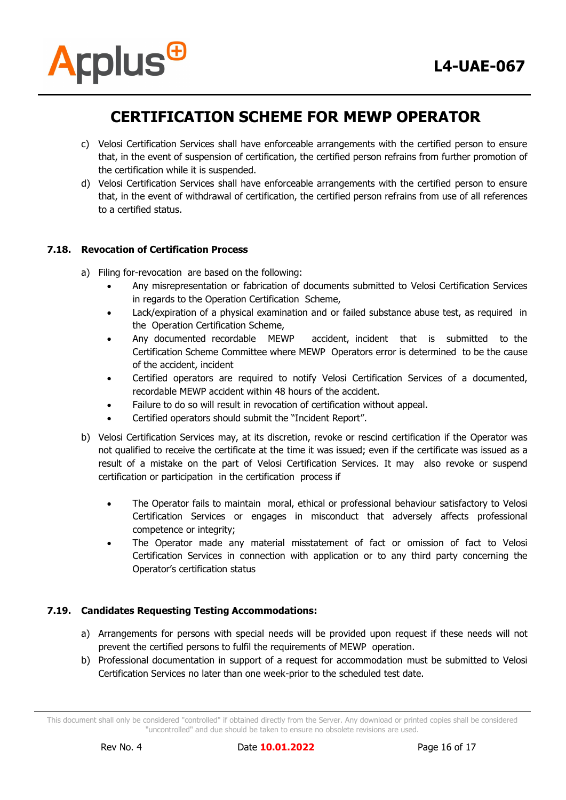

- c) Velosi Certification Services shall have enforceable arrangements with the certified person to ensure that, in the event of suspension of certification, the certified person refrains from further promotion of the certification while it is suspended.
- d) Velosi Certification Services shall have enforceable arrangements with the certified person to ensure that, in the event of withdrawal of certification, the certified person refrains from use of all references to a certified status.

#### **7.18. Revocation of Certification Process**

- a) Filing for-revocation are based on the following:
	- Any misrepresentation or fabrication of documents submitted to Velosi Certification Services in regards to the Operation Certification Scheme,
	- Lack/expiration of a physical examination and or failed substance abuse test, as required in the Operation Certification Scheme,
	- Any documented recordable MEWP accident, incident that is submitted to the Certification Scheme Committee where MEWP Operators error is determined to be the cause of the accident, incident
	- Certified operators are required to notify Velosi Certification Services of a documented, recordable MEWP accident within 48 hours of the accident.
	- Failure to do so will result in revocation of certification without appeal.
	- Certified operators should submit the "Incident Report".
- b) Velosi Certification Services may, at its discretion, revoke or rescind certification if the Operator was not qualified to receive the certificate at the time it was issued; even if the certificate was issued as a result of a mistake on the part of Velosi Certification Services. It may also revoke or suspend certification or participation in the certification process if
	- The Operator fails to maintain moral, ethical or professional behaviour satisfactory to Velosi Certification Services or engages in misconduct that adversely affects professional competence or integrity;
	- The Operator made any material misstatement of fact or omission of fact to Velosi Certification Services in connection with application or to any third party concerning the Operator's certification status

#### **7.19. Candidates Requesting Testing Accommodations:**

- a) Arrangements for persons with special needs will be provided upon request if these needs will not prevent the certified persons to fulfil the requirements of MEWP operation.
- b) Professional documentation in support of a request for accommodation must be submitted to Velosi Certification Services no later than one week-prior to the scheduled test date.

This document shall only be considered "controlled" if obtained directly from the Server. Any download or printed copies shall be considered "uncontrolled" and due should be taken to ensure no obsolete revisions are used.